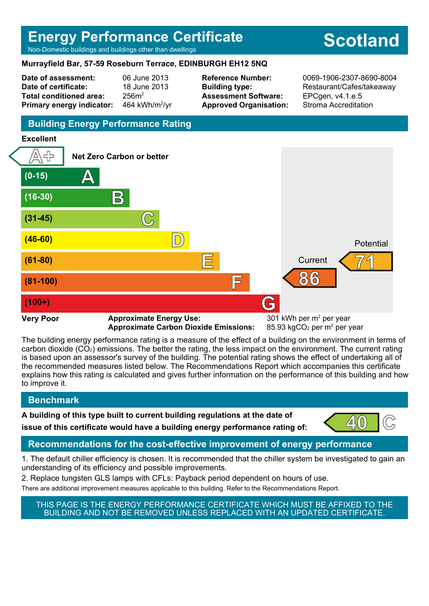## **Energy Performance Certificate**

Non-Domestic buildings and buildings other than dwellings

#### **Murrayfield Bar, 57-59 Roseburn Terrace, EDINBURGH EH12 5NQ**

**Date of assessment:** 06 June 2013 **Date of certificate:** 18 June 2013 **Total conditioned area:** 256m<sup>2</sup> **Primary energy indicator:** 

464 kWh/m $^2$ /vr

**Assessment Software:** EPCgen, v4.1.e.5 **Approved Organisation:** Stroma Accreditation

**Reference Number:** 0069-1906-2307-8690-8004 **Building type:** Restaurant/Cafes/takeaway

## **Building Energy Performance Rating**

## **Excellent**



**Approximate Carbon Dioxide Emissions:** 

85.93 kgCO<sub>2</sub> per  $m<sup>2</sup>$  per year

The building energy performance rating is a measure of the effect of a building on the environment in terms of carbon dioxide (CO2) emissions. The better the rating, the less impact on the environment. The current rating is based upon an assessor's survey of the building. The potential rating shows the effect of undertaking all of the recommended measures listed below. The Recommendations Report which accompanies this certificate explains how this rating is calculated and gives further information on the performance of this building and how to improve it.

## **Benchmark**

**A building of this type built to current building regulations at the date of**

**issue of this certificate would have a building energy performance rating of:** 



## **Recommendations for the cost-effective improvement of energy performance**

1. The default chiller efficiency is chosen. It is recommended that the chiller system be investigated to gain an understanding of its efficiency and possible improvements.

2. Replace tungsten GLS lamps with CFLs: Payback period dependent on hours of use.

There are additional improvement measures applicable to this building. Refer to the Recommendations Report.

THIS PAGE IS THE ENERGY PERFORMANCE CERTIFICATE WHICH MUST BE AFFIXED TO THE BUILDING AND NOT BE REMOVED UNLESS REPLACED WITH AN UPDATED CERTIFICATE.

# **Scotland**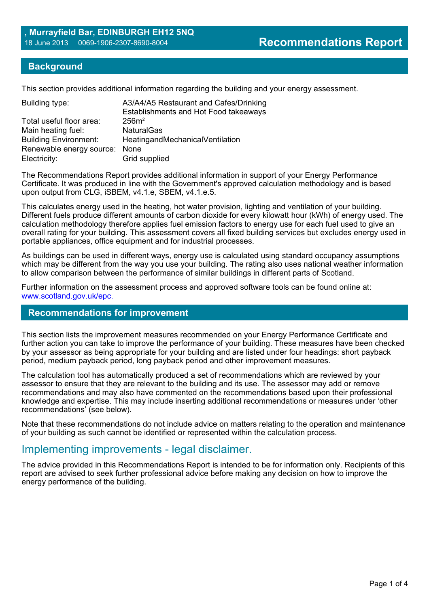#### **Background**

This section provides additional information regarding the building and your energy assessment.

| A3/A4/A5 Restaurant and Cafes/Drinking<br>Establishments and Hot Food takeaways |
|---------------------------------------------------------------------------------|
| 256m <sup>2</sup>                                                               |
| <b>NaturalGas</b>                                                               |
| HeatingandMechanicalVentilation                                                 |
| Renewable energy source:<br>None                                                |
| Grid supplied                                                                   |
|                                                                                 |

The Recommendations Report provides additional information in support of your Energy Performance Certificate. It was produced in line with the Government's approved calculation methodology and is based upon output from CLG, iSBEM, v4.1.e, SBEM, v4.1.e.5.

This calculates energy used in the heating, hot water provision, lighting and ventilation of your building. Different fuels produce different amounts of carbon dioxide for every kilowatt hour (kWh) of energy used. The calculation methodology therefore applies fuel emission factors to energy use for each fuel used to give an overall rating for your building. This assessment covers all fixed building services but excludes energy used in portable appliances, office equipment and for industrial processes.

As buildings can be used in different ways, energy use is calculated using standard occupancy assumptions which may be different from the way you use your building. The rating also uses national weather information to allow comparison between the performance of similar buildings in different parts of Scotland.

Further information on the assessment process and approved software tools can be found online at: www.scotland.gov.uk/epc.

#### **Recommendations for improvement**

This section lists the improvement measures recommended on your Energy Performance Certificate and further action you can take to improve the performance of your building. These measures have been checked by your assessor as being appropriate for your building and are listed under four headings: short payback period, medium payback period, long payback period and other improvement measures.

The calculation tool has automatically produced a set of recommendations which are reviewed by your assessor to ensure that they are relevant to the building and its use. The assessor may add or remove recommendations and may also have commented on the recommendations based upon their professional knowledge and expertise. This may include inserting additional recommendations or measures under 'other recommendations' (see below).

Note that these recommendations do not include advice on matters relating to the operation and maintenance of your building as such cannot be identified or represented within the calculation process.

## Implementing improvements - legal disclaimer.

The advice provided in this Recommendations Report is intended to be for information only. Recipients of this report are advised to seek further professional advice before making any decision on how to improve the energy performance of the building.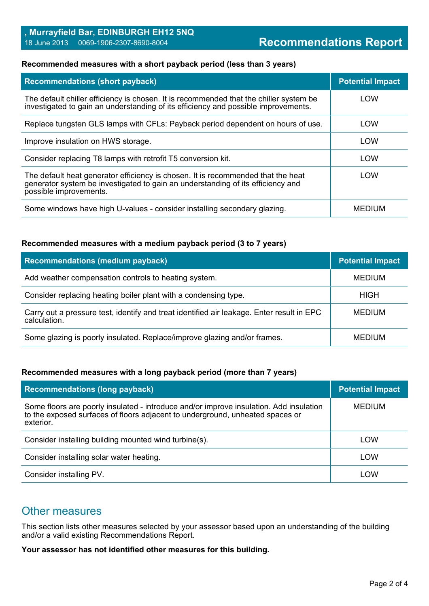#### **Recommended measures with a short payback period (less than 3 years)**

| <b>Recommendations (short payback)</b>                                                                                                                                                        | <b>Potential Impact</b> |
|-----------------------------------------------------------------------------------------------------------------------------------------------------------------------------------------------|-------------------------|
| The default chiller efficiency is chosen. It is recommended that the chiller system be<br>investigated to gain an understanding of its efficiency and possible improvements.                  | LOW                     |
| Replace tungsten GLS lamps with CFLs: Payback period dependent on hours of use.                                                                                                               | LOW                     |
| Improve insulation on HWS storage.                                                                                                                                                            | LOW                     |
| Consider replacing T8 lamps with retrofit T5 conversion kit.                                                                                                                                  | LOW                     |
| The default heat generator efficiency is chosen. It is recommended that the heat<br>generator system be investigated to gain an understanding of its efficiency and<br>possible improvements. | LOW                     |
| Some windows have high U-values - consider installing secondary glazing.                                                                                                                      | <b>MEDIUM</b>           |

#### **Recommended measures with a medium payback period (3 to 7 years)**

| <b>Recommendations (medium payback)</b>                                                                   | <b>Potential Impact</b> |
|-----------------------------------------------------------------------------------------------------------|-------------------------|
| Add weather compensation controls to heating system.                                                      | <b>MEDIUM</b>           |
| Consider replacing heating boiler plant with a condensing type.                                           | <b>HIGH</b>             |
| Carry out a pressure test, identify and treat identified air leakage. Enter result in EPC<br>calculation. | <b>MEDIUM</b>           |
| Some glazing is poorly insulated. Replace/improve glazing and/or frames.                                  | <b>MEDIUM</b>           |

#### **Recommended measures with a long payback period (more than 7 years)**

| <b>Recommendations (long payback)</b>                                                                                                                                                | <b>Potential Impact</b> |
|--------------------------------------------------------------------------------------------------------------------------------------------------------------------------------------|-------------------------|
| Some floors are poorly insulated - introduce and/or improve insulation. Add insulation<br>to the exposed surfaces of floors adjacent to underground, unheated spaces or<br>exterior. | <b>MEDIUM</b>           |
| Consider installing building mounted wind turbine(s).                                                                                                                                | LOW                     |
| Consider installing solar water heating.                                                                                                                                             | LOW                     |
| Consider installing PV.                                                                                                                                                              | LOW                     |

## Other measures

This section lists other measures selected by your assessor based upon an understanding of the building and/or a valid existing Recommendations Report.

**Your assessor has not identified other measures for this building.**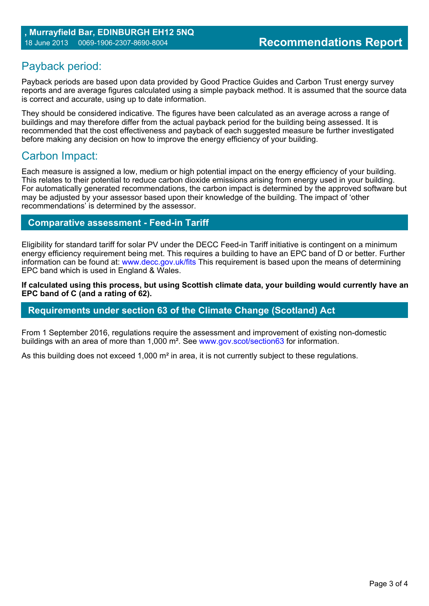## Payback period:

Payback periods are based upon data provided by Good Practice Guides and Carbon Trust energy survey reports and are average figures calculated using a simple payback method. It is assumed that the source data is correct and accurate, using up to date information.

They should be considered indicative. The figures have been calculated as an average across a range of buildings and may therefore differ from the actual payback period for the building being assessed. It is recommended that the cost effectiveness and payback of each suggested measure be further investigated before making any decision on how to improve the energy efficiency of your building.

## Carbon Impact:

Each measure is assigned a low, medium or high potential impact on the energy efficiency of your building. This relates to their potential to reduce carbon dioxide emissions arising from energy used in your building. For automatically generated recommendations, the carbon impact is determined by the approved software but may be adjusted by your assessor based upon their knowledge of the building. The impact of 'other recommendations' is determined by the assessor.

#### **Comparative assessment - Feed-in Tariff**

Eligibility for standard tariff for solar PV under the DECC Feed-in Tariff initiative is contingent on a minimum energy efficiency requirement being met. This requires a building to have an EPC band of D or better. Further information can be found at: www.decc.gov.uk/fits This requirement is based upon the means of determining EPC band which is used in England & Wales.

**If calculated using this process, but using Scottish climate data, your building would currently have an EPC band of C (and a rating of 62).**

#### **Requirements under section 63 of the Climate Change (Scotland) Act**

From 1 September 2016, regulations require the assessment and improvement of existing non-domestic buildings with an area of more than 1,000 m². See www.gov.scot/section63 for information.

As this building does not exceed 1,000 m<sup>2</sup> in area, it is not currently subject to these regulations.